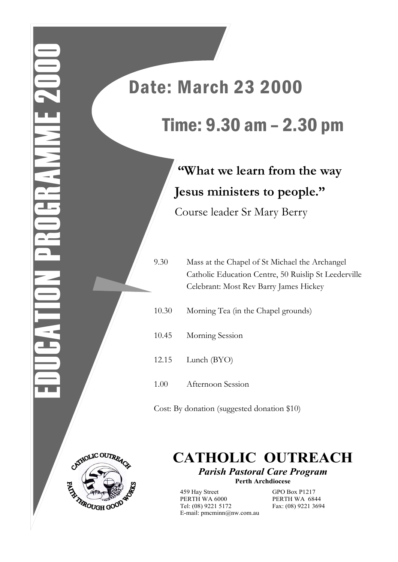## Date: March 23 2000 Time: 9.30 am – 2.30 pm

**"What we learn from the way Jesus ministers to people."** Course leader Sr Mary Berry

9.30 Mass at the Chapel of St Michael the Archangel Catholic Education Centre, 50 Ruislip St Leederville Celebrant: Most Rev Barry James Hickey

- 10.30 Morning Tea (in the Chapel grounds)
- 10.45 Morning Session
- 12.15 Lunch (BYO)
- 1.00 Afternoon Session

Cost: By donation (suggested donation \$10)



**CATHOLIC OUTREACH** *Parish Pastoral Care Program*

**Perth Archdiocese**

459 Hay Street GPO Box P1217 PERTH WA 6000 PERTH WA 6844 Tel: (08) 9221 5172 Fax: (08) 9221 3694 E-mail: pmcminn@nw.com.au